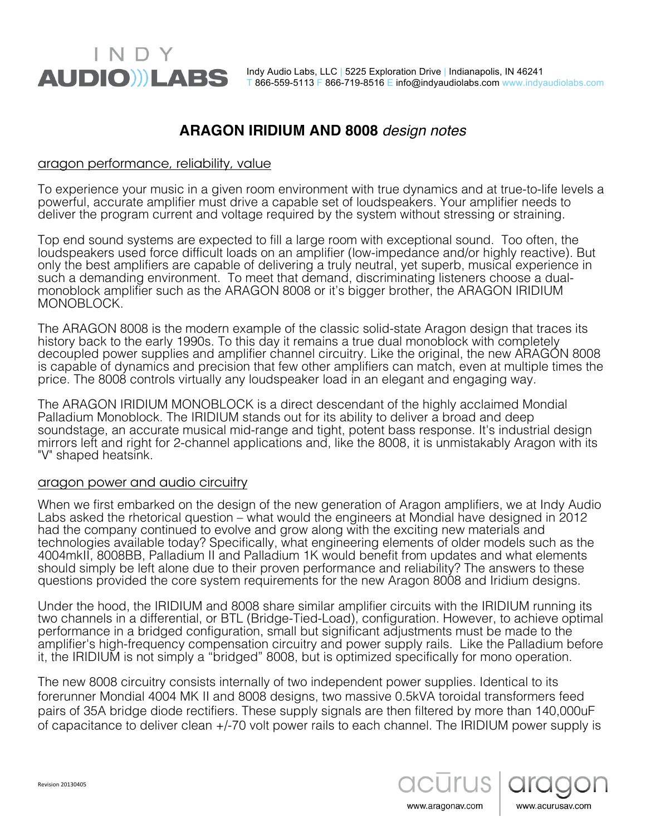## **ARAGON IRIDIUM AND 8008** *design notes*

#### aragon performance, reliability, value

INDY

**AUDIO LABS** 

To experience your music in a given room environment with true dynamics and at true-to-life levels a powerful, accurate amplifier must drive a capable set of loudspeakers. Your amplifier needs to deliver the program current and voltage required by the system without stressing or straining.

Top end sound systems are expected to fill a large room with exceptional sound. Too often, the loudspeakers used force difficult loads on an amplifier (low-impedance and/or highly reactive). But only the best amplifiers are capable of delivering a truly neutral, yet superb, musical experience in such a demanding environment. To meet that demand, discriminating listeners choose a dualmonoblock amplifier such as the ARAGON 8008 or it's bigger brother, the ARAGON IRIDIUM MONOBLOCK.

The ARAGON 8008 is the modern example of the classic solid-state Aragon design that traces its history back to the early 1990s. To this day it remains a true dual monoblock with completely decoupled power supplies and amplifier channel circuitry. Like the original, the new ARAGON 8008 is capable of dynamics and precision that few other amplifiers can match, even at multiple times the price. The 8008 controls virtually any loudspeaker load in an elegant and engaging way.

The ARAGON IRIDIUM MONOBLOCK is a direct descendant of the highly acclaimed Mondial Palladium Monoblock. The IRIDIUM stands out for its ability to deliver a broad and deep soundstage, an accurate musical mid-range and tight, potent bass response. It's industrial design mirrors left and right for 2-channel applications and, like the 8008, it is unmistakably Aragon with its "V" shaped heatsink.

### aragon power and audio circuitry

When we first embarked on the design of the new generation of Aragon amplifiers, we at Indy Audio Labs asked the rhetorical question – what would the engineers at Mondial have designed in 2012 had the company continued to evolve and grow along with the exciting new materials and technologies available today? Specifically, what engineering elements of older models such as the 4004mkII, 8008BB, Palladium II and Palladium 1K would benefit from updates and what elements should simply be left alone due to their proven performance and reliability? The answers to these questions provided the core system requirements for the new Aragon 8008 and Iridium designs.

Under the hood, the IRIDIUM and 8008 share similar amplifier circuits with the IRIDIUM running its two channels in a differential, or BTL (Bridge-Tied-Load), configuration. However, to achieve optimal performance in a bridged configuration, small but significant adjustments must be made to the amplifier's high-frequency compensation circuitry and power supply rails. Like the Palladium before it, the IRIDIUM is not simply a "bridged" 8008, but is optimized specifically for mono operation.

The new 8008 circuitry consists internally of two independent power supplies. Identical to its forerunner Mondial 4004 MK II and 8008 designs, two massive 0.5kVA toroidal transformers feed pairs of 35A bridge diode rectifiers. These supply signals are then filtered by more than 140,000uF of capacitance to deliver clean +/-70 volt power rails to each channel. The IRIDIUM power supply is



www.aragonav.com

Revision 20130405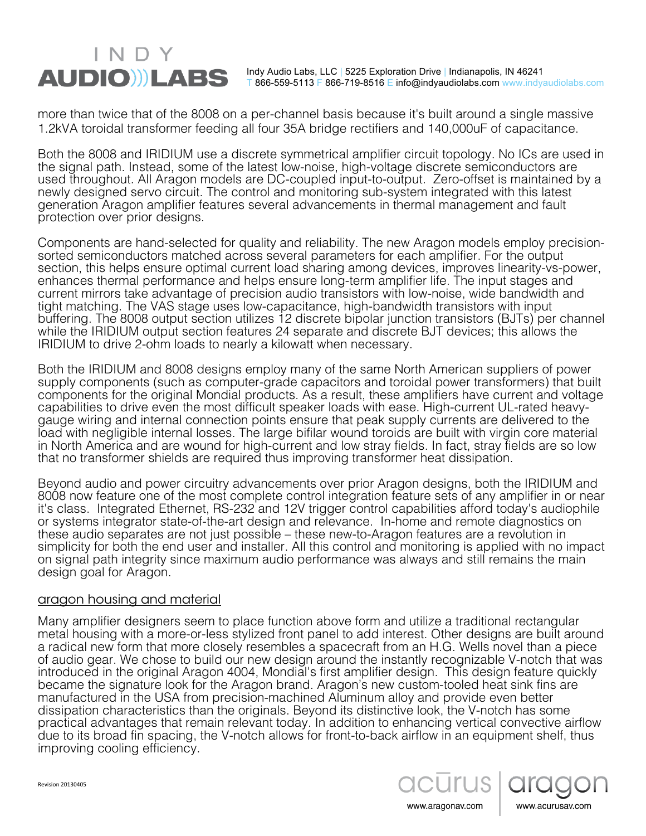# INDY **AUDIO)) LABS**

Indy Audio Labs, LLC | 5225 Exploration Drive | Indianapolis, IN 46241 T 866-559-5113 F 866-719-8516 E info@indyaudiolabs.com www.indyaudiolabs.com

more than twice that of the 8008 on a per-channel basis because it's built around a single massive 1.2kVA toroidal transformer feeding all four 35A bridge rectifiers and 140,000uF of capacitance.

Both the 8008 and IRIDIUM use a discrete symmetrical amplifier circuit topology. No ICs are used in the signal path. Instead, some of the latest low-noise, high-voltage discrete semiconductors are used throughout. All Aragon models are DC-coupled input-to-output. Zero-offset is maintained by a newly designed servo circuit. The control and monitoring sub-system integrated with this latest generation Aragon amplifier features several advancements in thermal management and fault protection over prior designs.

Components are hand-selected for quality and reliability. The new Aragon models employ precisionsorted semiconductors matched across several parameters for each amplifier. For the output section, this helps ensure optimal current load sharing among devices, improves linearity-vs-power, enhances thermal performance and helps ensure long-term amplifier life. The input stages and current mirrors take advantage of precision audio transistors with low-noise, wide bandwidth and tight matching. The VAS stage uses low-capacitance, high-bandwidth transistors with input buffering. The 8008 output section utilizes 12 discrete bipolar junction transistors (BJTs) per channel while the IRIDIUM output section features 24 separate and discrete BJT devices; this allows the IRIDIUM to drive 2-ohm loads to nearly a kilowatt when necessary.

Both the IRIDIUM and 8008 designs employ many of the same North American suppliers of power supply components (such as computer-grade capacitors and toroidal power transformers) that built components for the original Mondial products. As a result, these amplifiers have current and voltage capabilities to drive even the most difficult speaker loads with ease. High-current UL-rated heavygauge wiring and internal connection points ensure that peak supply currents are delivered to the load with negligible internal losses. The large bifilar wound toroids are built with virgin core material in North America and are wound for high-current and low stray fields. In fact, stray fields are so low that no transformer shields are required thus improving transformer heat dissipation.

Beyond audio and power circuitry advancements over prior Aragon designs, both the IRIDIUM and 8008 now feature one of the most complete control integration feature sets of any amplifier in or near it's class. Integrated Ethernet, RS-232 and 12V trigger control capabilities afford today's audiophile or systems integrator state-of-the-art design and relevance. In-home and remote diagnostics on these audio separates are not just possible – these new-to-Aragon features are a revolution in simplicity for both the end user and installer. All this control and monitoring is applied with no impact on signal path integrity since maximum audio performance was always and still remains the main design goal for Aragon.

### aragon housing and material

Many amplifier designers seem to place function above form and utilize a traditional rectangular metal housing with a more-or-less stylized front panel to add interest. Other designs are built around a radical new form that more closely resembles a spacecraft from an H.G. Wells novel than a piece of audio gear. We chose to build our new design around the instantly recognizable V-notch that was introduced in the original Aragon 4004, Mondial's first amplifier design. This design feature quickly became the signature look for the Aragon brand. Aragon's new custom-tooled heat sink fins are manufactured in the USA from precision-machined Aluminum alloy and provide even better dissipation characteristics than the originals. Beyond its distinctive look, the V-notch has some practical advantages that remain relevant today. In addition to enhancing vertical convective airflow due to its broad fin spacing, the V-notch allows for front-to-back airflow in an equipment shelf, thus improving cooling efficiency.



www.acurusav.com

www.aragonav.com